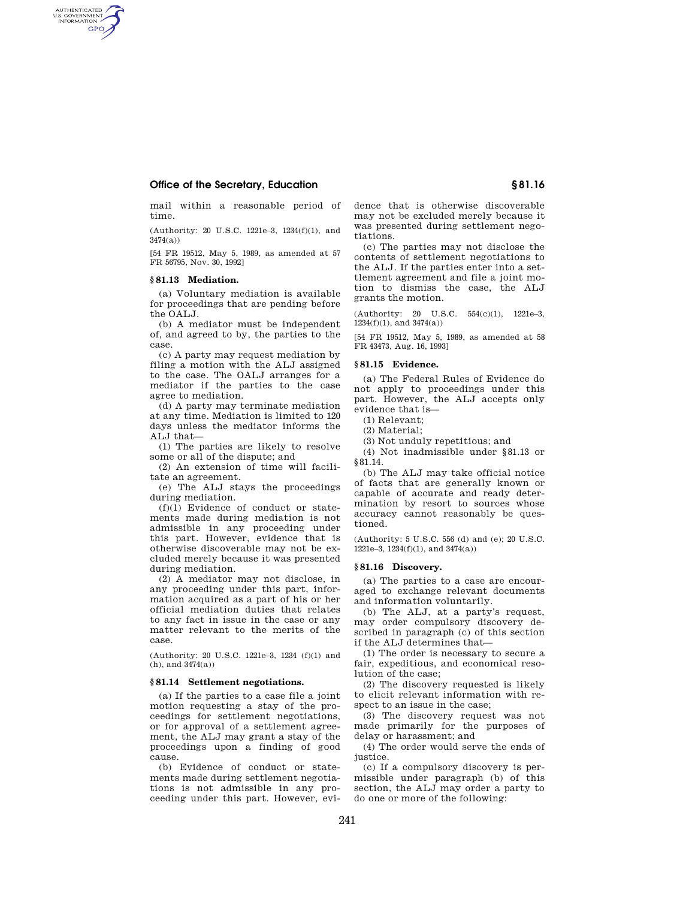# **Office of the Secretary, Education § 81.16**

mail within a reasonable period of time.

(Authority: 20 U.S.C. 1221e–3, 1234(f)(1), and 3474(a))

[54 FR 19512, May 5, 1989, as amended at 57 FR 56795, Nov. 30, 1992]

### **§ 81.13 Mediation.**

AUTHENTICATED<br>U.S. GOVERNMENT<br>INFORMATION **GPO** 

> (a) Voluntary mediation is available for proceedings that are pending before the OALJ.

> (b) A mediator must be independent of, and agreed to by, the parties to the case.

> (c) A party may request mediation by filing a motion with the ALJ assigned to the case. The OALJ arranges for a mediator if the parties to the case agree to mediation.

> (d) A party may terminate mediation at any time. Mediation is limited to 120 days unless the mediator informs the ALJ that—

> (1) The parties are likely to resolve some or all of the dispute; and

> (2) An extension of time will facilitate an agreement.

> (e) The ALJ stays the proceedings during mediation.

 $(f)(1)$  Evidence of conduct or statements made during mediation is not admissible in any proceeding under this part. However, evidence that is otherwise discoverable may not be excluded merely because it was presented during mediation.

(2) A mediator may not disclose, in any proceeding under this part, information acquired as a part of his or her official mediation duties that relates to any fact in issue in the case or any matter relevant to the merits of the case.

(Authority: 20 U.S.C. 1221e–3, 1234 (f)(1) and (h), and 3474(a))

### **§ 81.14 Settlement negotiations.**

(a) If the parties to a case file a joint motion requesting a stay of the proceedings for settlement negotiations, or for approval of a settlement agreement, the ALJ may grant a stay of the proceedings upon a finding of good cause.

(b) Evidence of conduct or statements made during settlement negotiations is not admissible in any proceeding under this part. However, evidence that is otherwise discoverable may not be excluded merely because it was presented during settlement negotiations.

(c) The parties may not disclose the contents of settlement negotiations to the ALJ. If the parties enter into a settlement agreement and file a joint motion to dismiss the case, the ALJ grants the motion.

(Authority: 20 U.S.C. 554(c)(1), 1221e–3, 1234(f)(1), and 3474(a))

[54 FR 19512, May 5, 1989, as amended at 58 FR 43473, Aug. 16, 1993]

### **§ 81.15 Evidence.**

(a) The Federal Rules of Evidence do not apply to proceedings under this part. However, the ALJ accepts only evidence that is—

(1) Relevant;

(2) Material;

(3) Not unduly repetitious; and

(4) Not inadmissible under §81.13 or §81.14.

(b) The ALJ may take official notice of facts that are generally known or capable of accurate and ready determination by resort to sources whose accuracy cannot reasonably be questioned.

(Authority: 5 U.S.C. 556 (d) and (e); 20 U.S.C. 1221e–3, 1234(f)(1), and 3474(a))

### **§ 81.16 Discovery.**

(a) The parties to a case are encouraged to exchange relevant documents and information voluntarily.

(b) The ALJ, at a party's request, may order compulsory discovery described in paragraph (c) of this section if the ALJ determines that—

(1) The order is necessary to secure a fair, expeditious, and economical resolution of the case;

(2) The discovery requested is likely to elicit relevant information with respect to an issue in the case;

(3) The discovery request was not made primarily for the purposes of delay or harassment; and

(4) The order would serve the ends of justice.

(c) If a compulsory discovery is permissible under paragraph (b) of this section, the ALJ may order a party to do one or more of the following: